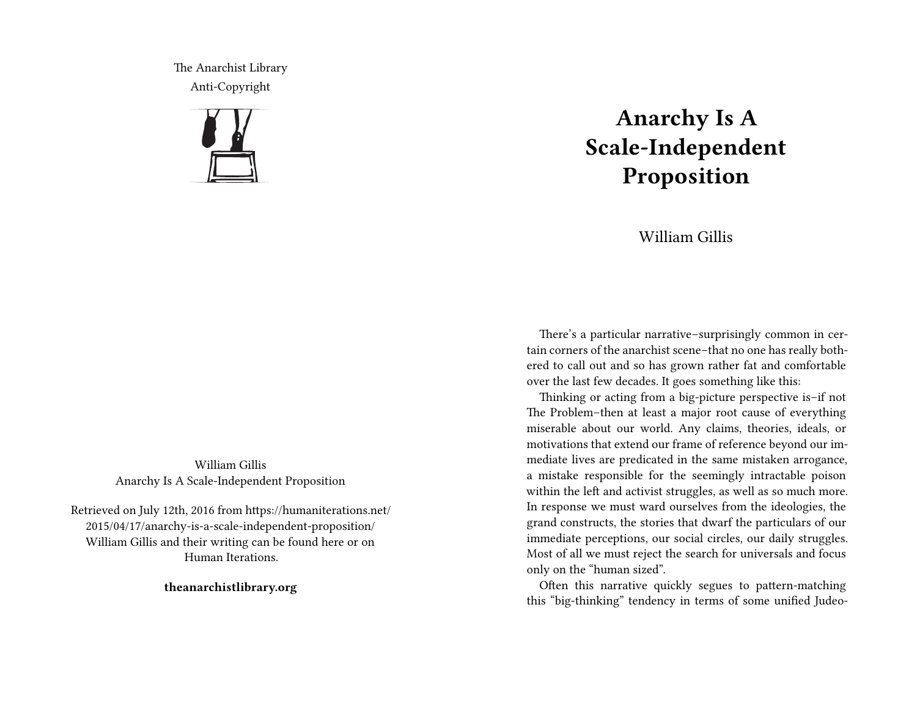The Anarchist Library Anti-Copyright



William Gillis Anarchy Is A Scale-Independent Proposition

Retrieved on July 12th, 2016 from https://humaniterations.net/ 2015/04/17/anarchy-is-a-scale-independent-proposition/ William Gillis and their writing can be found here or on Human Iterations.

**theanarchistlibrary.org**

## **Anarchy Is A Scale-Independent Proposition**

William Gillis

There's a particular narrative–surprisingly common in certain corners of the anarchist scene–that no one has really bothered to call out and so has grown rather fat and comfortable over the last few decades. It goes something like this:

Thinking or acting from a big-picture perspective is–if not The Problem–then at least a major root cause of everything miserable about our world. Any claims, theories, ideals, or motivations that extend our frame of reference beyond our immediate lives are predicated in the same mistaken arrogance, a mistake responsible for the seemingly intractable poison within the left and activist struggles, as well as so much more. In response we must ward ourselves from the ideologies, the grand constructs, the stories that dwarf the particulars of our immediate perceptions, our social circles, our daily struggles. Most of all we must reject the search for universals and focus only on the "human sized".

Often this narrative quickly segues to pattern-matching this "big-thinking" tendency in terms of some unified Judeo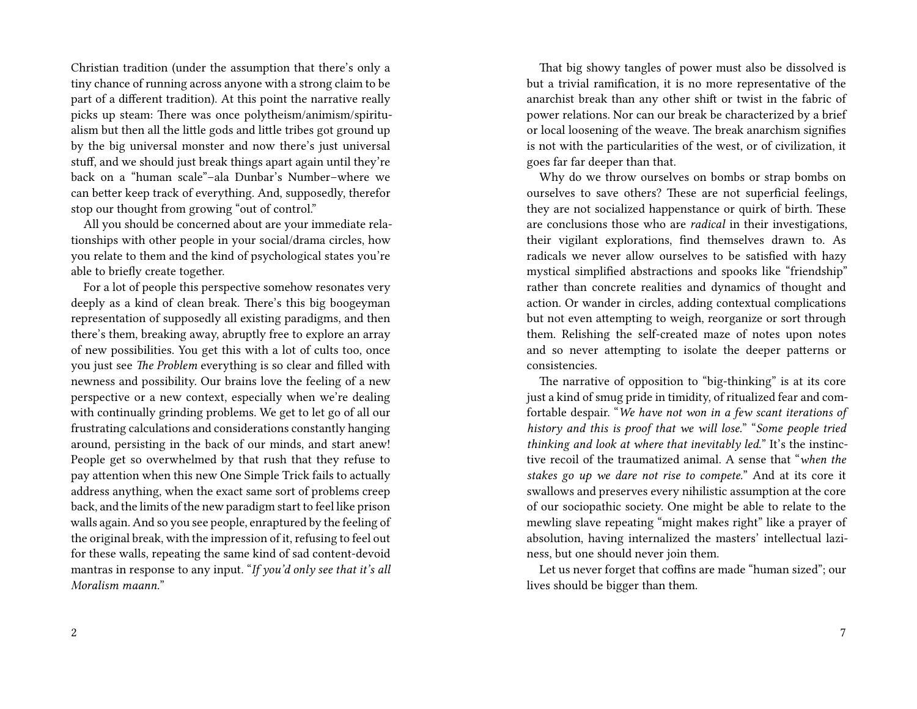Christian tradition (under the assumption that there's only a tiny chance of running across anyone with a strong claim to be part of a different tradition). At this point the narrative really picks up steam: There was once polytheism/animism/spiritualism but then all the little gods and little tribes got ground up by the big universal monster and now there's just universal stuff, and we should just break things apart again until they're back on a "human scale"–ala Dunbar's Number–where we can better keep track of everything. And, supposedly, therefor stop our thought from growing "out of control."

All you should be concerned about are your immediate relationships with other people in your social/drama circles, how you relate to them and the kind of psychological states you're able to briefly create together.

For a lot of people this perspective somehow resonates very deeply as a kind of clean break. There's this big boogeyman representation of supposedly all existing paradigms, and then there's them, breaking away, abruptly free to explore an array of new possibilities. You get this with a lot of cults too, once you just see *The Problem* everything is so clear and filled with newness and possibility. Our brains love the feeling of a new perspective or a new context, especially when we're dealing with continually grinding problems. We get to let go of all our frustrating calculations and considerations constantly hanging around, persisting in the back of our minds, and start anew! People get so overwhelmed by that rush that they refuse to pay attention when this new One Simple Trick fails to actually address anything, when the exact same sort of problems creep back, and the limits of the new paradigm start to feel like prison walls again. And so you see people, enraptured by the feeling of the original break, with the impression of it, refusing to feel out for these walls, repeating the same kind of sad content-devoid mantras in response to any input. "*If you'd only see that it's all Moralism maann.*"

That big showy tangles of power must also be dissolved is but a trivial ramification, it is no more representative of the anarchist break than any other shift or twist in the fabric of power relations. Nor can our break be characterized by a brief or local loosening of the weave. The break anarchism signifies is not with the particularities of the west, or of civilization, it goes far far deeper than that.

Why do we throw ourselves on bombs or strap bombs on ourselves to save others? These are not superficial feelings, they are not socialized happenstance or quirk of birth. These are conclusions those who are *radical* in their investigations, their vigilant explorations, find themselves drawn to. As radicals we never allow ourselves to be satisfied with hazy mystical simplified abstractions and spooks like "friendship" rather than concrete realities and dynamics of thought and action. Or wander in circles, adding contextual complications but not even attempting to weigh, reorganize or sort through them. Relishing the self-created maze of notes upon notes and so never attempting to isolate the deeper patterns or consistencies.

The narrative of opposition to "big-thinking" is at its core just a kind of smug pride in timidity, of ritualized fear and comfortable despair. "*We have not won in a few scant iterations of history and this is proof that we will lose.*" "*Some people tried thinking and look at where that inevitably led.*" It's the instinctive recoil of the traumatized animal. A sense that "*when the stakes go up we dare not rise to compete.*" And at its core it swallows and preserves every nihilistic assumption at the core of our sociopathic society. One might be able to relate to the mewling slave repeating "might makes right" like a prayer of absolution, having internalized the masters' intellectual laziness, but one should never join them.

Let us never forget that coffins are made "human sized"; our lives should be bigger than them.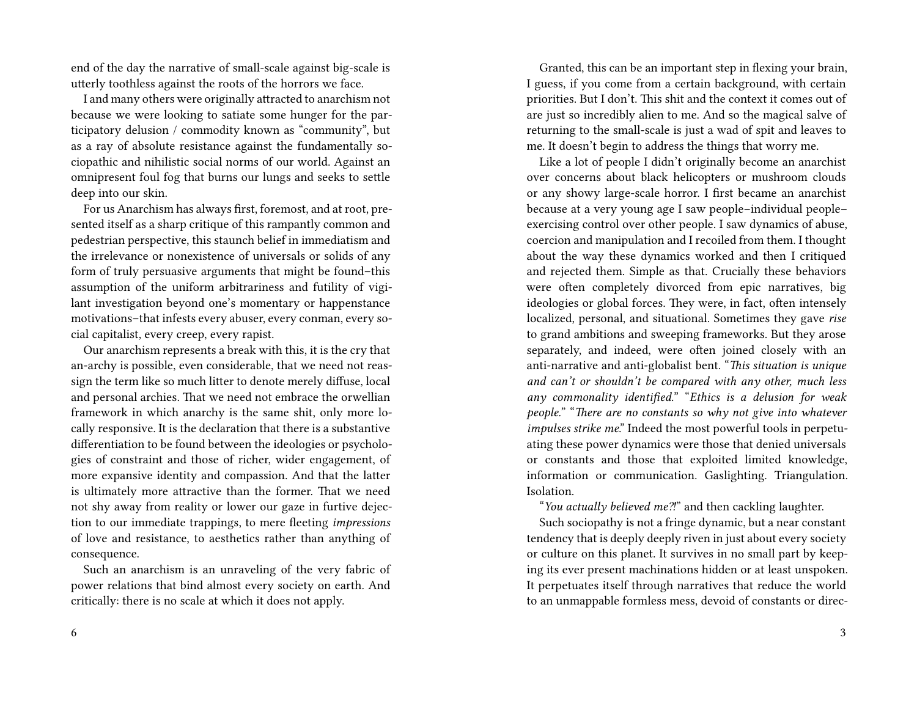end of the day the narrative of small-scale against big-scale is utterly toothless against the roots of the horrors we face.

I and many others were originally attracted to anarchism not because we were looking to satiate some hunger for the participatory delusion / commodity known as "community", but as a ray of absolute resistance against the fundamentally sociopathic and nihilistic social norms of our world. Against an omnipresent foul fog that burns our lungs and seeks to settle deep into our skin.

For us Anarchism has always first, foremost, and at root, presented itself as a sharp critique of this rampantly common and pedestrian perspective, this staunch belief in immediatism and the irrelevance or nonexistence of universals or solids of any form of truly persuasive arguments that might be found–this assumption of the uniform arbitrariness and futility of vigilant investigation beyond one's momentary or happenstance motivations–that infests every abuser, every conman, every social capitalist, every creep, every rapist.

Our anarchism represents a break with this, it is the cry that an-archy is possible, even considerable, that we need not reassign the term like so much litter to denote merely diffuse, local and personal archies. That we need not embrace the orwellian framework in which anarchy is the same shit, only more locally responsive. It is the declaration that there is a substantive differentiation to be found between the ideologies or psychologies of constraint and those of richer, wider engagement, of more expansive identity and compassion. And that the latter is ultimately more attractive than the former. That we need not shy away from reality or lower our gaze in furtive dejection to our immediate trappings, to mere fleeting *impressions* of love and resistance, to aesthetics rather than anything of consequence.

Such an anarchism is an unraveling of the very fabric of power relations that bind almost every society on earth. And critically: there is no scale at which it does not apply.

Granted, this can be an important step in flexing your brain, I guess, if you come from a certain background, with certain priorities. But I don't. This shit and the context it comes out of are just so incredibly alien to me. And so the magical salve of returning to the small-scale is just a wad of spit and leaves to me. It doesn't begin to address the things that worry me.

Like a lot of people I didn't originally become an anarchist over concerns about black helicopters or mushroom clouds or any showy large-scale horror. I first became an anarchist because at a very young age I saw people–individual people– exercising control over other people. I saw dynamics of abuse, coercion and manipulation and I recoiled from them. I thought about the way these dynamics worked and then I critiqued and rejected them. Simple as that. Crucially these behaviors were often completely divorced from epic narratives, big ideologies or global forces. They were, in fact, often intensely localized, personal, and situational. Sometimes they gave *rise* to grand ambitions and sweeping frameworks. But they arose separately, and indeed, were often joined closely with an anti-narrative and anti-globalist bent. "*This situation is unique and can't or shouldn't be compared with any other, much less any commonality identified.*" "*Ethics is a delusion for weak people.*" "*There are no constants so why not give into whatever impulses strike me*." Indeed the most powerful tools in perpetuating these power dynamics were those that denied universals or constants and those that exploited limited knowledge, information or communication. Gaslighting. Triangulation. **Isolation** 

"*You actually believed me⁈*" and then cackling laughter.

Such sociopathy is not a fringe dynamic, but a near constant tendency that is deeply deeply riven in just about every society or culture on this planet. It survives in no small part by keeping its ever present machinations hidden or at least unspoken. It perpetuates itself through narratives that reduce the world to an unmappable formless mess, devoid of constants or direc